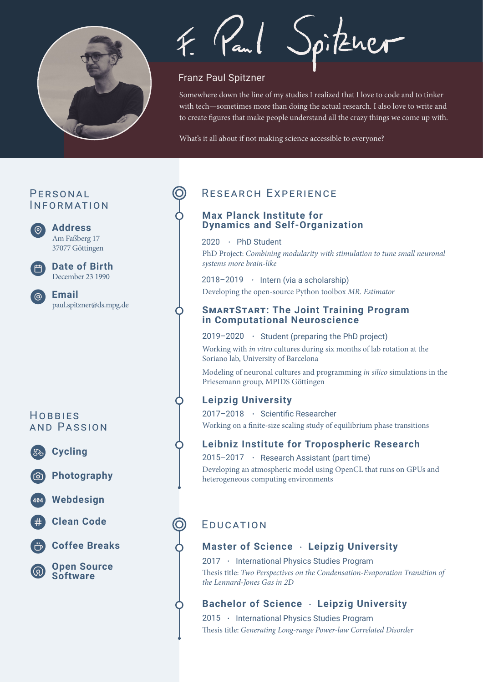

Spitzuer

### Franz Paul Spitzner

Somewhere down the line of my studies I realized that I love to code and to tinker with tech—sometimes more than doing the actual research. I also love to write and to create figures that make people understand all the crazy things we come up with.

What's it all about if not making science accessible to everyone?

## PERSONAL INFORMATION

**Address**

 $\odot$ 

Am Faßberg 17 37077 Göttingen



December 23 1990 **Date of Birth**

paul.spitzner@ds.mpg.de **Email**

## **HOBBIFS** AND PASSION



**Photography**

**Cycling**

**Webdesign**



**Coffee Breaks**

**Open Source Software**

# RESEARCH EXPERIENCE

#### **Max Planck Institute for Dynamics and Self-Organization**

 $2020 \cdot$  PhD Student PhD Project: *Combining modularity with stimulation to tune small neuronal systems more brain-like*

 $2018 - 2019$  · Intern (via a scholarship) Developing the open-source Python toolbox *MR. Estimator*

#### **SMARTSTART: The Joint Training Program in Computational Neuroscience**

#### $2019 - 2020$  · Student (preparing the PhD project)

Working with *in vitro* cultures during six months of lab rotation at the Soriano lab, University of Barcelona

Modeling of neuronal cultures and programming *in silico* simulations in the Priesemann group, MPIDS Göttingen

### **Leipzig University**

2017–2018 · Scientific Researcher Working on a finite-size scaling study of equilibrium phase transitions

### **Leibniz Institute for Tropospheric Research**

2015–2017 • Research Assistant (part time) Developing an atmospheric model using OpenCL that runs on GPUs and heterogeneous computing environments

# **EDUCATION**

### **Master of Science Leipzig University**

2017 · International Physics Studies Program Thesis title: *Two Perspectives on the Condensation-Evaporation Transition of the Lennard-Jones Gas in 2D*

## **Bachelor of Science Leipzig University**

2015 • International Physics Studies Program Thesis title: *Generating Long-range Power-law Correlated Disorder*